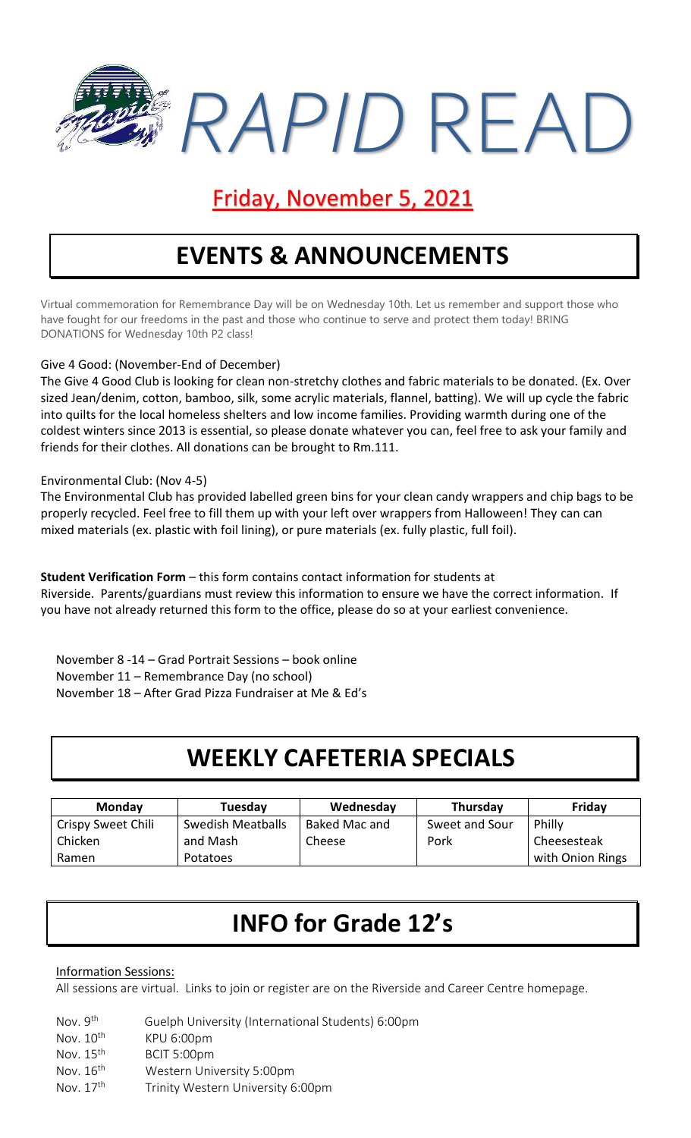

## Friday, November 5, 2021

# **EVENTS & ANNOUNCEMENTS**

Virtual commemoration for Remembrance Day will be on Wednesday 10th. Let us remember and support those who have fought for our freedoms in the past and those who continue to serve and protect them today! BRING DONATIONS for Wednesday 10th P2 class!

#### Give 4 Good: (November-End of December)

The Give 4 Good Club is looking for clean non-stretchy clothes and fabric materials to be donated. (Ex. Over sized Jean/denim, cotton, bamboo, silk, some acrylic materials, flannel, batting). We will up cycle the fabric into quilts for the local homeless shelters and low income families. Providing warmth during one of the coldest winters since 2013 is essential, so please donate whatever you can, feel free to ask your family and friends for their clothes. All donations can be brought to Rm.111.

#### Environmental Club: (Nov 4-5)

The Environmental Club has provided labelled green bins for your clean candy wrappers and chip bags to be properly recycled. Feel free to fill them up with your left over wrappers from Halloween! They can can mixed materials (ex. plastic with foil lining), or pure materials (ex. fully plastic, full foil).

**Student Verification Form** – this form contains contact information for students at Riverside. Parents/guardians must review this information to ensure we have the correct information. If you have not already returned this form to the office, please do so at your earliest convenience.

November 8 -14 – Grad Portrait Sessions – book online November 11 – Remembrance Day (no school) November 18 – After Grad Pizza Fundraiser at Me & Ed's

### **WEEKLY CAFETERIA SPECIALS**

| <b>Monday</b>      | Tuesday           | Wednesday     | Thursday       | Friday           |
|--------------------|-------------------|---------------|----------------|------------------|
| Crispy Sweet Chili | Swedish Meatballs | Baked Mac and | Sweet and Sour | Philly           |
| Chicken            | and Mash          | Cheese        | Pork           | Cheesesteak      |
| Ramen              | Potatoes          |               |                | with Onion Rings |

## **INFO for Grade 12's**

#### Information Sessions:

All sessions are virtual. Links to join or register are on the Riverside and Career Centre homepage.

- Nov. 9th Guelph University (International Students) 6:00pm
- Nov. 10<sup>th</sup> KPU 6:00pm Nov. 15<sup>th</sup> BCIT 5:00pm
- Nov. 16<sup>th</sup> Western University 5:00pm
- Nov. 17<sup>th</sup> Trinity Western University 6:00pm